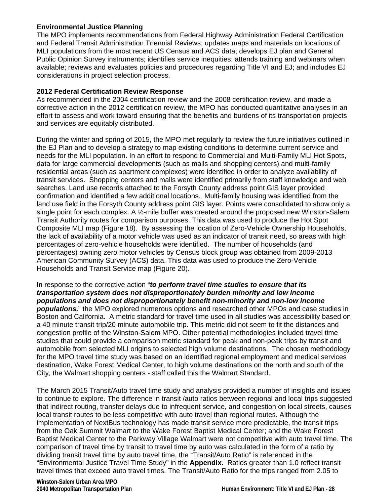### **Environmental Justice Planning**

The MPO implements recommendations from Federal Highway Administration Federal Certification and Federal Transit Administration Triennial Reviews; updates maps and materials on locations of MLI populations from the most recent US Census and ACS data; develops EJ plan and General Public Opinion Survey instruments; identifies service inequities; attends training and webinars when available; reviews and evaluates policies and procedures regarding Title VI and EJ; and includes EJ considerations in project selection process.

### **2012 Federal Certification Review Response**

As recommended in the 2004 certification review and the 2008 certification review, and made a corrective action in the 2012 certification review, the MPO has conducted quantitative analyses in an effort to assess and work toward ensuring that the benefits and burdens of its transportation projects and services are equitably distributed.

During the winter and spring of 2015, the MPO met regularly to review the future initiatives outlined in the EJ Plan and to develop a strategy to map existing conditions to determine current service and needs for the MLI population. In an effort to respond to Commercial and Multi-Family MLI Hot Spots, data for large commercial developments (such as malls and shopping centers) and multi-family residential areas (such as apartment complexes) were identified in order to analyze availability of transit services. Shopping centers and malls were identified primarily from staff knowledge and web searches. Land use records attached to the Forsyth County address point GIS layer provided confirmation and identified a few additional locations. Multi-family housing was identified from the land use field in the Forsyth County address point GIS layer. Points were consolidated to show only a single point for each complex. A  $\frac{1}{2}$ -mile buffer was created around the proposed new Winston-Salem Transit Authority routes for comparison purposes. This data was used to produce the Hot Spot Composite MLI map (Figure 18). By assessing the location of Zero-Vehicle Ownership Households, the lack of availability of a motor vehicle was used as an indicator of transit need, so areas with high percentages of zero-vehicle households were identified. The number of households (and percentages) owning zero motor vehicles by Census block group was obtained from 2009-2013 American Community Survey (ACS) data. This data was used to produce the Zero-Vehicle Households and Transit Service map (Figure 20).

### In response to the corrective action "*to perform travel time studies to ensure that its transportation system does not disproportionately burden minority and low income populations and does not disproportionately benefit non-minority and non-low income*

*populations,*" the MPO explored numerous options and researched other MPOs and case studies in Boston and California. A metric standard for travel time used in all studies was accessibility based on a 40 minute transit trip/20 minute automobile trip. This metric did not seem to fit the distances and congestion profile of the Winston-Salem MPO. Other potential methodologies included travel time studies that could provide a comparison metric standard for peak and non-peak trips by transit and automobile from selected MLI origins to selected high volume destinations. The chosen methodology for the MPO travel time study was based on an identified regional employment and medical services destination, Wake Forest Medical Center, to high volume destinations on the north and south of the City, the Walmart shopping centers - staff called this the Walmart Standard.

The March 2015 Transit/Auto travel time study and analysis provided a number of insights and issues to continue to explore. The difference in transit /auto ratios between regional and local trips suggested that indirect routing, transfer delays due to infrequent service, and congestion on local streets, causes local transit routes to be less competitive with auto travel than regional routes. Although the implementation of NextBus technology has made transit service more predictable, the transit trips from the Oak Summit Walmart to the Wake Forest Baptist Medical Center; and the Wake Forest Baptist Medical Center to the Parkway Village Walmart were not competitive with auto travel time. The comparison of travel time by transit to travel time by auto was calculated in the form of a ratio by dividing transit travel time by auto travel time, the "Transit/Auto Ratio" is referenced in the "Environmental Justice Travel Time Study" in the **Appendix.** Ratios greater than 1.0 reflect transit travel times that exceed auto travel times. The Transit/Auto Ratio for the trips ranged from 2.05 to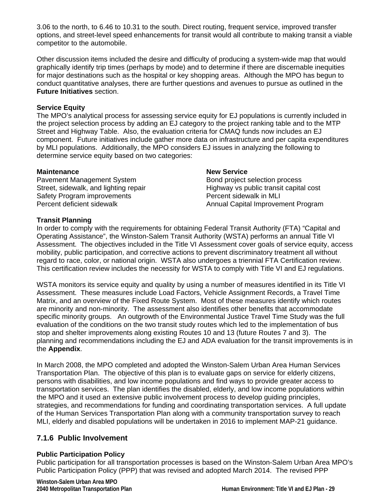3.06 to the north, to 6.46 to 10.31 to the south. Direct routing, frequent service, improved transfer options, and street-level speed enhancements for transit would all contribute to making transit a viable competitor to the automobile.

Other discussion items included the desire and difficulty of producing a system-wide map that would graphically identify trip times (perhaps by mode) and to determine if there are discernable inequities for major destinations such as the hospital or key shopping areas. Although the MPO has begun to conduct quantitative analyses, there are further questions and avenues to pursue as outlined in the **Future Initiatives** section.

## **Service Equity**

The MPO's analytical process for assessing service equity for EJ populations is currently included in the project selection process by adding an EJ category to the project ranking table and to the MTP Street and Highway Table. Also, the evaluation criteria for CMAQ funds now includes an EJ component. Future initiatives include gather more data on infrastructure and per capita expenditures by MLI populations. Additionally, the MPO considers EJ issues in analyzing the following to determine service equity based on two categories:

### **Maintenance**

Pavement Management System Street, sidewalk, and lighting repair Safety Program improvements Percent deficient sidewalk

### **New Service**

Bond project selection process Highway vs public transit capital cost Percent sidewalk in MLI Annual Capital Improvement Program

### **Transit Planning**

In order to comply with the requirements for obtaining Federal Transit Authority (FTA) "Capital and Operating Assistance", the Winston-Salem Transit Authority (WSTA) performs an annual Title VI Assessment. The objectives included in the Title VI Assessment cover goals of service equity, access mobility, public participation, and corrective actions to prevent discriminatory treatment all without regard to race, color, or national origin. WSTA also undergoes a triennial FTA Certification review. This certification review includes the necessity for WSTA to comply with Title VI and EJ regulations.

WSTA monitors its service equity and quality by using a number of measures identified in its Title VI Assessment. These measures include Load Factors, Vehicle Assignment Records, a Travel Time Matrix, and an overview of the Fixed Route System. Most of these measures identify which routes are minority and non-minority. The assessment also identifies other benefits that accommodate specific minority groups. An outgrowth of the Environmental Justice Travel Time Study was the full evaluation of the conditions on the two transit study routes which led to the implementation of bus stop and shelter improvements along existing Routes 10 and 13 (future Routes 7 and 3). The planning and recommendations including the EJ and ADA evaluation for the transit improvements is in the **Appendix**.

In March 2008, the MPO completed and adopted the Winston-Salem Urban Area Human Services Transportation Plan. The objective of this plan is to evaluate gaps on service for elderly citizens, persons with disabilities, and low income populations and find ways to provide greater access to transportation services. The plan identifies the disabled, elderly, and low income populations within the MPO and it used an extensive public involvement process to develop guiding principles, strategies, and recommendations for funding and coordinating transportation services. A full update of the Human Services Transportation Plan along with a community transportation survey to reach MLI, elderly and disabled populations will be undertaken in 2016 to implement MAP-21 guidance.

## **7.1.6 Public Involvement**

### **Public Participation Policy**

Public participation for all transportation processes is based on the Winston-Salem Urban Area MPO's Public Participation Policy (PPP) that was revised and adopted March 2014. The revised PPP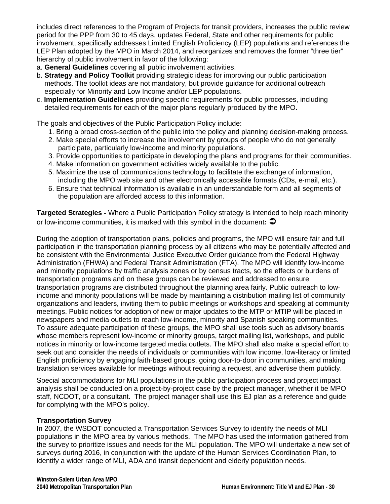includes direct references to the Program of Projects for transit providers, increases the public review period for the PPP from 30 to 45 days, updates Federal, State and other requirements for public involvement, specifically addresses Limited English Proficiency (LEP) populations and references the LEP Plan adopted by the MPO in March 2014, and reorganizes and removes the former "three tier" hierarchy of public involvement in favor of the following:

- a. **General Guidelines** covering all public involvement activities.
- b. **Strategy and Policy Toolkit** providing strategic ideas for improving our public participation methods. The toolkit ideas are not mandatory, but provide guidance for additional outreach especially for Minority and Low Income and/or LEP populations.
- c. **Implementation Guidelines** providing specific requirements for public processes, including detailed requirements for each of the major plans regularly produced by the MPO.

The goals and objectives of the Public Participation Policy include:

- 1. Bring a broad cross‐section of the public into the policy and planning decision‐making process.
- 2. Make special efforts to increase the involvement by groups of people who do not generally participate, particularly low-income and minority populations.
- 3. Provide opportunities to participate in developing the plans and programs for their communities.
- 4. Make information on government activities widely available to the public.
- 5. Maximize the use of communications technology to facilitate the exchange of information, including the MPO web site and other electronically accessible formats (CDs, e‐mail, etc.).
- 6. Ensure that technical information is available in an understandable form and all segments of the population are afforded access to this information.

**Targeted Strategies** ‐ Where a Public Participation Policy strategy is intended to help reach minority or low‐income communities, it is marked with this symbol in the document*:* 

During the adoption of transportation plans, policies and programs, the MPO will ensure fair and full participation in the transportation planning process by all citizens who may be potentially affected and be consistent with the Environmental Justice Executive Order guidance from the Federal Highway Administration (FHWA) and Federal Transit Administration (FTA). The MPO will identify low‐income and minority populations by traffic analysis zones or by census tracts, so the effects or burdens of transportation programs and on these groups can be reviewed and addressed to ensure transportation programs are distributed throughout the planning area fairly. Public outreach to low‐ income and minority populations will be made by maintaining a distribution mailing list of community organizations and leaders, inviting them to public meetings or workshops and speaking at community meetings. Public notices for adoption of new or major updates to the MTP or MTIP will be placed in newspapers and media outlets to reach low‐income, minority and Spanish speaking communities. To assure adequate participation of these groups, the MPO shall use tools such as advisory boards whose members represent low-income or minority groups, target mailing list, workshops, and public notices in minority or low‐income targeted media outlets. The MPO shall also make a special effort to seek out and consider the needs of individuals or communities with low income, low-literacy or limited English proficiency by engaging faith‐based groups, going door‐to‐door in communities, and making translation services available for meetings without requiring a request, and advertise them publicly.

Special accommodations for MLI populations in the public participation process and project impact analysis shall be conducted on a project-by-project case by the project manager, whether it be MPO staff, NCDOT, or a consultant. The project manager shall use this EJ plan as a reference and guide for complying with the MPO's policy.

### **Transportation Survey**

In 2007, the WSDOT conducted a Transportation Services Survey to identify the needs of MLI populations in the MPO area by various methods. The MPO has used the information gathered from the survey to prioritize issues and needs for the MLI population. The MPO will undertake a new set of surveys during 2016, in conjunction with the update of the Human Services Coordination Plan, to identify a wider range of MLI, ADA and transit dependent and elderly population needs.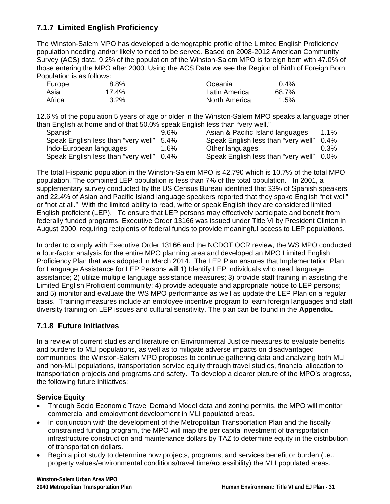# **7.1.7 Limited English Proficiency**

The Winston-Salem MPO has developed a demographic profile of the Limited English Proficiency population needing and/or likely to need to be served. Based on 2008-2012 American Community Survey (ACS) data, 9.2% of the population of the Winston-Salem MPO is foreign born with 47.0% of those entering the MPO after 2000. Using the ACS Data we see the Region of Birth of Foreign Born Population is as follows:

| Europe | 8.8%     | Oceania       | $0.4\%$ |
|--------|----------|---------------|---------|
| Asia   | $17.4\%$ | Latin America | 68.7%   |
| Africa | 3.2%     | North America | 1.5%    |

12.6 % of the population 5 years of age or older in the Winston-Salem MPO speaks a language other than English at home and of that 50.0% speak English less than "very well."

| Spanish                             | $9.6\%$ | Asian & Pacific Island languages         | 1.1%    |
|-------------------------------------|---------|------------------------------------------|---------|
| Speak English less than "very well" | - 5.4%  | Speak English less than "very well"      | $0.4\%$ |
| Indo-European languages             | $1.6\%$ | Other languages                          | 0.3%    |
| Speak English less than "very well" | $0.4\%$ | Speak English less than "very well" 0.0% |         |

The total Hispanic population in the Winston-Salem MPO is 42,790 which is 10.7% of the total MPO population. The combined LEP population is less than 7% of the total population. In 2001, a supplementary survey conducted by the US Census Bureau identified that 33% of Spanish speakers and 22.4% of Asian and Pacific Island language speakers reported that they spoke English "not well" or "not at all." With the limited ability to read, write or speak English they are considered limited English proficient (LEP). To ensure that LEP persons may effectively participate and benefit from federally funded programs, Executive Order 13166 was issued under Title VI by President Clinton in August 2000, requiring recipients of federal funds to provide meaningful access to LEP populations.

In order to comply with Executive Order 13166 and the NCDOT OCR review, the WS MPO conducted a four-factor analysis for the entire MPO planning area and developed an MPO Limited English Proficiency Plan that was adopted in March 2014. The LEP Plan ensures that Implementation Plan for Language Assistance for LEP Persons will 1) Identify LEP individuals who need language assistance; 2) utilize multiple language assistance measures; 3) provide staff training in assisting the Limited English Proficient community; 4) provide adequate and appropriate notice to LEP persons; and 5) monitor and evaluate the WS MPO performance as well as update the LEP Plan on a regular basis. Training measures include an employee incentive program to learn foreign languages and staff diversity training on LEP issues and cultural sensitivity. The plan can be found in the **Appendix.**

## **7.1.8 Future Initiatives**

In a review of current studies and literature on Environmental Justice measures to evaluate benefits and burdens to MLI populations, as well as to mitigate adverse impacts on disadvantaged communities, the Winston-Salem MPO proposes to continue gathering data and analyzing both MLI and non-MLI populations, transportation service equity through travel studies, financial allocation to transportation projects and programs and safety. To develop a clearer picture of the MPO's progress, the following future initiatives:

## **Service Equity**

- Through Socio Economic Travel Demand Model data and zoning permits, the MPO will monitor commercial and employment development in MLI populated areas.
- In conjunction with the development of the Metropolitan Transportation Plan and the fiscally constrained funding program, the MPO will map the per capita investment of transportation infrastructure construction and maintenance dollars by TAZ to determine equity in the distribution of transportation dollars.
- Begin a pilot study to determine how projects, programs, and services benefit or burden (i.e., property values/environmental conditions/travel time/accessibility) the MLI populated areas.